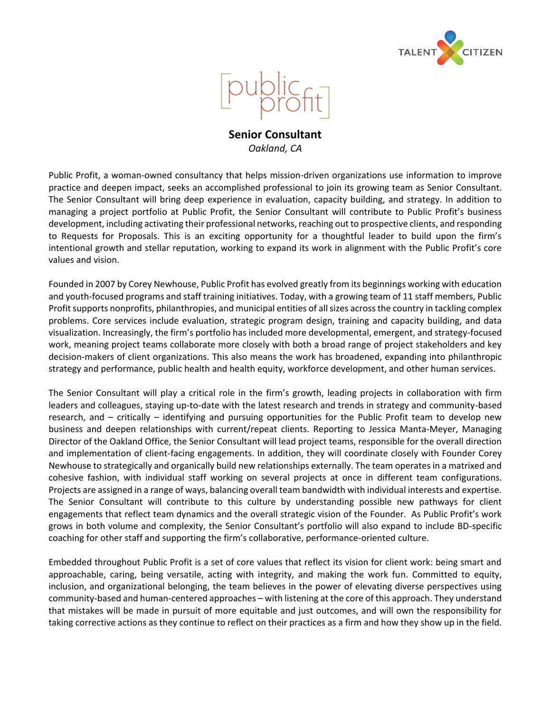



**Senior Consultant** *Oakland, CA*

Public Profit, a woman-owned consultancy that helps mission-driven organizations use information to improve practice and deepen impact, seeks an accomplished professional to join its growing team as Senior Consultant. The Senior Consultant will bring deep experience in evaluation, capacity building, and strategy. In addition to managing a project portfolio at Public Profit, the Senior Consultant will contribute to Public Profit's business development, including activating their professional networks, reaching out to prospective clients, and responding to Requests for Proposals. This is an exciting opportunity for a thoughtful leader to build upon the firm's intentional growth and stellar reputation, working to expand its work in alignment with the Public Profit's core values and vision.

Founded in 2007 by Corey Newhouse, Public Profit has evolved greatly from its beginnings working with education and youth-focused programs and staff training initiatives. Today, with a growing team of 11 staff members, Public Profit supports nonprofits, philanthropies, and municipal entities of all sizes across the country in tackling complex problems. Core services include evaluation, strategic program design, training and capacity building, and data visualization. Increasingly, the firm's portfolio has included more developmental, emergent, and strategy-focused work, meaning project teams collaborate more closely with both a broad range of project stakeholders and key decision-makers of client organizations. This also means the work has broadened, expanding into philanthropic strategy and performance, public health and health equity, workforce development, and other human services.

The Senior Consultant will play a critical role in the firm's growth, leading projects in collaboration with firm leaders and colleagues, staying up-to-date with the latest research and trends in strategy and community-based research, and – critically – identifying and pursuing opportunities for the Public Profit team to develop new business and deepen relationships with current/repeat clients. Reporting to Jessica Manta-Meyer, Managing Director of the Oakland Office, the Senior Consultant will lead project teams, responsible for the overall direction and implementation of client-facing engagements. In addition, they will coordinate closely with Founder Corey Newhouse to strategically and organically build new relationships externally. The team operates in a matrixed and cohesive fashion, with individual staff working on several projects at once in different team configurations. Projects are assigned in a range of ways, balancing overall team bandwidth with individual interests and expertise. The Senior Consultant will contribute to this culture by understanding possible new pathways for client engagements that reflect team dynamics and the overall strategic vision of the Founder. As Public Profit's work grows in both volume and complexity, the Senior Consultant's portfolio will also expand to include BD-specific coaching for other staff and supporting the firm's collaborative, performance-oriented culture.

Embedded throughout Public Profit is a set of core values that reflect its vision for client work: being smart and approachable, caring, being versatile, acting with integrity, and making the work fun. Committed to equity, inclusion, and organizational belonging, the team believes in the power of elevating diverse perspectives using community-based and human-centered approaches – with listening at the core of this approach. They understand that mistakes will be made in pursuit of more equitable and just outcomes, and will own the responsibility for taking corrective actions as they continue to reflect on their practices as a firm and how they show up in the field.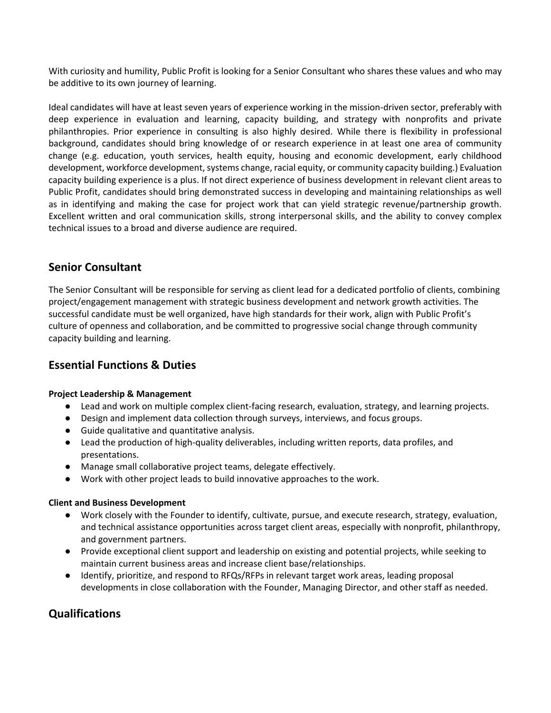With curiosity and humility, Public Profit is looking for a Senior Consultant who shares these values and who may be additive to its own journey of learning.

Ideal candidates will have at least seven years of experience working in the mission-driven sector, preferably with deep experience in evaluation and learning, capacity building, and strategy with nonprofits and private philanthropies. Prior experience in consulting is also highly desired. While there is flexibility in professional background, candidates should bring knowledge of or research experience in at least one area of community change (e.g. education, youth services, health equity, housing and economic development, early childhood development, workforce development, systems change, racial equity, or community capacity building.) Evaluation capacity building experience is a plus. If not direct experience of business development in relevant client areas to Public Profit, candidates should bring demonstrated success in developing and maintaining relationships as well as in identifying and making the case for project work that can yield strategic revenue/partnership growth. Excellent written and oral communication skills, strong interpersonal skills, and the ability to convey complex technical issues to a broad and diverse audience are required.

# **Senior Consultant**

The Senior Consultant will be responsible for serving as client lead for a dedicated portfolio of clients, combining project/engagement management with strategic business development and network growth activities. The successful candidate must be well organized, have high standards for their work, align with Public Profit's culture of openness and collaboration, and be committed to progressive social change through community capacity building and learning.

# **Essential Functions & Duties**

## **Project Leadership & Management**

- Lead and work on multiple complex client-facing research, evaluation, strategy, and learning projects.
- Design and implement data collection through surveys, interviews, and focus groups.
- Guide qualitative and quantitative analysis.
- Lead the production of high-quality deliverables, including written reports, data profiles, and presentations.
- Manage small collaborative project teams, delegate effectively.
- Work with other project leads to build innovative approaches to the work.

### **Client and Business Development**

- Work closely with the Founder to identify, cultivate, pursue, and execute research, strategy, evaluation, and technical assistance opportunities across target client areas, especially with nonprofit, philanthropy, and government partners.
- Provide exceptional client support and leadership on existing and potential projects, while seeking to maintain current business areas and increase client base/relationships.
- Identify, prioritize, and respond to RFQs/RFPs in relevant target work areas, leading proposal developments in close collaboration with the Founder, Managing Director, and other staff as needed.

# **Qualifications**